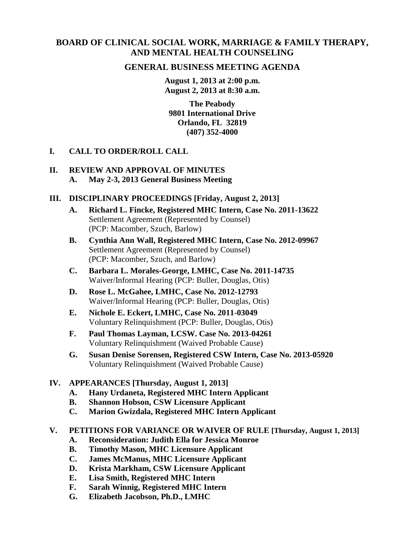# **BOARD OF CLINICAL SOCIAL WORK, MARRIAGE & FAMILY THERAPY, AND MENTAL HEALTH COUNSELING**

## **GENERAL BUSINESS MEETING AGENDA**

**August 1, 2013 at 2:00 p.m. August 2, 2013 at 8:30 a.m.** 

**The Peabody 9801 International Drive Orlando, FL 32819 (407) 352-4000** 

**I. CALL TO ORDER/ROLL CALL** 

#### **II. REVIEW AND APPROVAL OF MINUTES A. May 2-3, 2013 General Business Meeting**

#### **III. DISCIPLINARY PROCEEDINGS [Friday, August 2, 2013]**

- **A. Richard L. Fincke, Registered MHC Intern, Case No. 2011-13622**  Settlement Agreement (Represented by Counsel) (PCP: Macomber, Szuch, Barlow)
- **B. Cynthia Ann Wall, Registered MHC Intern, Case No. 2012-09967**  Settlement Agreement (Represented by Counsel) (PCP: Macomber, Szuch, and Barlow)
- **C. Barbara L. Morales-George, LMHC, Case No. 2011-14735**  Waiver/Informal Hearing (PCP: Buller, Douglas, Otis)
- **D. Rose L. McGahee, LMHC, Case No. 2012-12793**  Waiver/Informal Hearing (PCP: Buller, Douglas, Otis)
- **E. Nichole E. Eckert, LMHC, Case No. 2011-03049**  Voluntary Relinquishment (PCP: Buller, Douglas, Otis)
- **F. Paul Thomas Layman, LCSW. Case No. 2013-04261**  Voluntary Relinquishment (Waived Probable Cause)
- **G. Susan Denise Sorensen, Registered CSW Intern, Case No. 2013-05920**  Voluntary Relinquishment (Waived Probable Cause)

#### **IV. APPEARANCES [Thursday, August 1, 2013]**

- **A. Hany Urdaneta, Registered MHC Intern Applicant**
- **B. Shannon Hobson, CSW Licensure Applicant**
- **C. Marion Gwizdala, Registered MHC Intern Applicant**

#### **V. PETITIONS FOR VARIANCE OR WAIVER OF RULE [Thursday, August 1, 2013]**

- **A. Reconsideration: Judith Ella for Jessica Monroe**
- **B. Timothy Mason, MHC Licensure Applicant**
- **C. James McManus, MHC Licensure Applicant**
- **D. Krista Markham, CSW Licensure Applicant**
- **E. Lisa Smith, Registered MHC Intern**
- **F. Sarah Winnig, Registered MHC Intern**
- **G. Elizabeth Jacobson, Ph.D., LMHC**